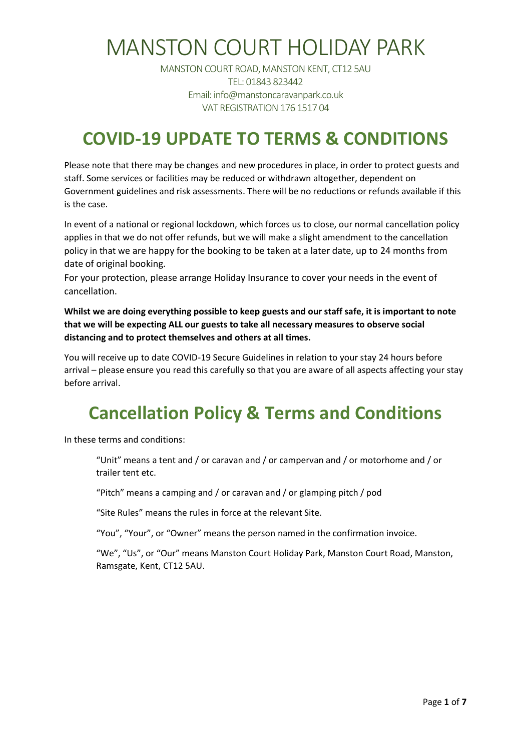MANSTON COURT ROAD, MANSTON KENT, CT12 5AU TEL: 01843 823442 Email: info@manstoncaravanpark.co.uk VAT REGISTRATION 176 1517 04

#### **COVID-19 UPDATE TO TERMS & CONDITIONS**

Please note that there may be changes and new procedures in place, in order to protect guests and staff. Some services or facilities may be reduced or withdrawn altogether, dependent on Government guidelines and risk assessments. There will be no reductions or refunds available if this is the case.

In event of a national or regional lockdown, which forces us to close, our normal cancellation policy applies in that we do not offer refunds, but we will make a slight amendment to the cancellation policy in that we are happy for the booking to be taken at a later date, up to 24 months from date of original booking.

For your protection, please arrange Holiday Insurance to cover your needs in the event of cancellation.

**Whilst we are doing everything possible to keep guests and our staff safe, it is important to note that we will be expecting ALL our guests to take all necessary measures to observe social distancing and to protect themselves and others at all times.**

You will receive up to date COVID-19 Secure Guidelines in relation to your stay 24 hours before arrival – please ensure you read this carefully so that you are aware of all aspects affecting your stay before arrival.

#### **Cancellation Policy & Terms and Conditions**

In these terms and conditions:

"Unit" means a tent and / or caravan and / or campervan and / or motorhome and / or trailer tent etc.

"Pitch" means a camping and / or caravan and / or glamping pitch / pod

"Site Rules" means the rules in force at the relevant Site.

"You", "Your", or "Owner" means the person named in the confirmation invoice.

"We", "Us", or "Our" means Manston Court Holiday Park, Manston Court Road, Manston, Ramsgate, Kent, CT12 5AU.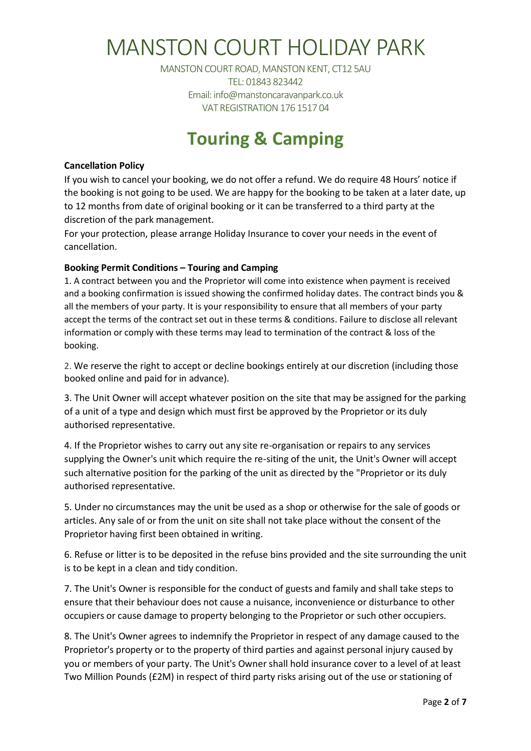MANSTON COURT ROAD, MANSTON KENT, CT12 5AU TEL: 01843 823442 Email: info@manstoncaravanpark.co.uk VAT REGISTRATION 176 1517 04

#### **Touring & Camping**

#### **Cancellation Policy**

If you wish to cancel your booking, we do not offer a refund. We do require 48 Hours' notice if the booking is not going to be used. We are happy for the booking to be taken at a later date, up to 12 months from date of original booking or it can be transferred to a third party at the discretion of the park management.

For your protection, please arrange Holiday Insurance to cover your needs in the event of cancellation.

#### **Booking Permit Conditions – Touring and Camping**

1. A contract between you and the Proprietor will come into existence when payment is received and a booking confirmation is issued showing the confirmed holiday dates. The contract binds you & all the members of your party. It is your responsibility to ensure that all members of your party accept the terms of the contract set out in these terms & conditions. Failure to disclose all relevant information or comply with these terms may lead to termination of the contract & loss of the booking.

2. We reserve the right to accept or decline bookings entirely at our discretion (including those booked online and paid for in advance).

3. The Unit Owner will accept whatever position on the site that may be assigned for the parking of a unit of a type and design which must first be approved by the Proprietor or its duly authorised representative.

4. If the Proprietor wishes to carry out any site re-organisation or repairs to any services supplying the Owner's unit which require the re-siting of the unit, the Unit's Owner will accept such alternative position for the parking of the unit as directed by the "Proprietor or its duly authorised representative.

5. Under no circumstances may the unit be used as a shop or otherwise for the sale of goods or articles. Any sale of or from the unit on site shall not take place without the consent of the Proprietor having first been obtained in writing.

6. Refuse or litter is to be deposited in the refuse bins provided and the site surrounding the unit is to be kept in a clean and tidy condition.

7. The Unit's Owner is responsible for the conduct of guests and family and shall take steps to ensure that their behaviour does not cause a nuisance, inconvenience or disturbance to other occupiers or cause damage to property belonging to the Proprietor or such other occupiers.

8. The Unit's Owner agrees to indemnify the Proprietor in respect of any damage caused to the Proprietor's property or to the property of third parties and against personal injury caused by you or members of your party. The Unit's Owner shall hold insurance cover to a level of at least Two Million Pounds (£2M) in respect of third party risks arising out of the use or stationing of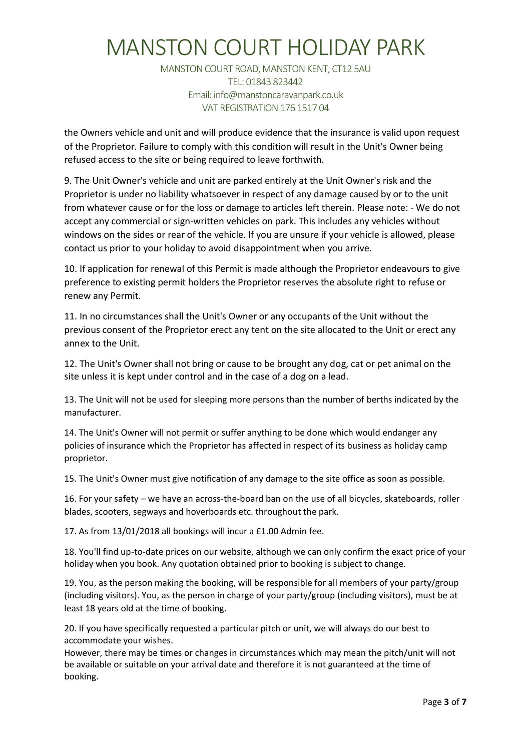MANSTON COURT ROAD, MANSTON KENT, CT12 5AU TEL: 01843 823442 Email: info@manstoncaravanpark.co.uk VAT REGISTRATION 176 1517 04

the Owners vehicle and unit and will produce evidence that the insurance is valid upon request of the Proprietor. Failure to comply with this condition will result in the Unit's Owner being refused access to the site or being required to leave forthwith.

9. The Unit Owner's vehicle and unit are parked entirely at the Unit Owner's risk and the Proprietor is under no liability whatsoever in respect of any damage caused by or to the unit from whatever cause or for the loss or damage to articles left therein. Please note: - We do not accept any commercial or sign-written vehicles on park. This includes any vehicles without windows on the sides or rear of the vehicle. If you are unsure if your vehicle is allowed, please contact us prior to your holiday to avoid disappointment when you arrive.

10. If application for renewal of this Permit is made although the Proprietor endeavours to give preference to existing permit holders the Proprietor reserves the absolute right to refuse or renew any Permit.

11. In no circumstances shall the Unit's Owner or any occupants of the Unit without the previous consent of the Proprietor erect any tent on the site allocated to the Unit or erect any annex to the Unit.

12. The Unit's Owner shall not bring or cause to be brought any dog, cat or pet animal on the site unless it is kept under control and in the case of a dog on a lead.

13. The Unit will not be used for sleeping more persons than the number of berths indicated by the manufacturer.

14. The Unit's Owner will not permit or suffer anything to be done which would endanger any policies of insurance which the Proprietor has affected in respect of its business as holiday camp proprietor.

15. The Unit's Owner must give notification of any damage to the site office as soon as possible.

16. For your safety – we have an across-the-board ban on the use of all bicycles, skateboards, roller blades, scooters, segways and hoverboards etc. throughout the park.

17. As from 13/01/2018 all bookings will incur a £1.00 Admin fee.

18. You'll find up-to-date prices on our website, although we can only confirm the exact price of your holiday when you book. Any quotation obtained prior to booking is subject to change.

19. You, as the person making the booking, will be responsible for all members of your party/group (including visitors). You, as the person in charge of your party/group (including visitors), must be at least 18 years old at the time of booking.

20. If you have specifically requested a particular pitch or unit, we will always do our best to accommodate your wishes.

However, there may be times or changes in circumstances which may mean the pitch/unit will not be available or suitable on your arrival date and therefore it is not guaranteed at the time of booking.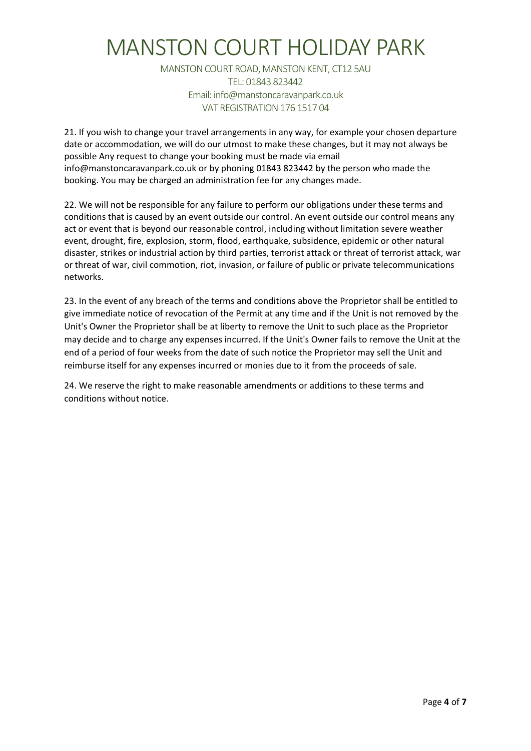MANSTON COURT ROAD, MANSTON KENT, CT12 5AU TEL: 01843 823442 Email: info@manstoncaravanpark.co.uk VAT REGISTRATION 176 1517 04

21. If you wish to change your travel arrangements in any way, for example your chosen departure date or accommodation, we will do our utmost to make these changes, but it may not always be possible Any request to change your booking must be made via email info@manstoncaravanpark.co.uk or by phoning 01843 823442 by the person who made the booking. You may be charged an administration fee for any changes made.

22. We will not be responsible for any failure to perform our obligations under these terms and conditions that is caused by an event outside our control. An event outside our control means any act or event that is beyond our reasonable control, including without limitation severe weather event, drought, fire, explosion, storm, flood, earthquake, subsidence, epidemic or other natural disaster, strikes or industrial action by third parties, terrorist attack or threat of terrorist attack, war or threat of war, civil commotion, riot, invasion, or failure of public or private telecommunications networks.

23. In the event of any breach of the terms and conditions above the Proprietor shall be entitled to give immediate notice of revocation of the Permit at any time and if the Unit is not removed by the Unit's Owner the Proprietor shall be at liberty to remove the Unit to such place as the Proprietor may decide and to charge any expenses incurred. If the Unit's Owner fails to remove the Unit at the end of a period of four weeks from the date of such notice the Proprietor may sell the Unit and reimburse itself for any expenses incurred or monies due to it from the proceeds of sale.

24. We reserve the right to make reasonable amendments or additions to these terms and conditions without notice.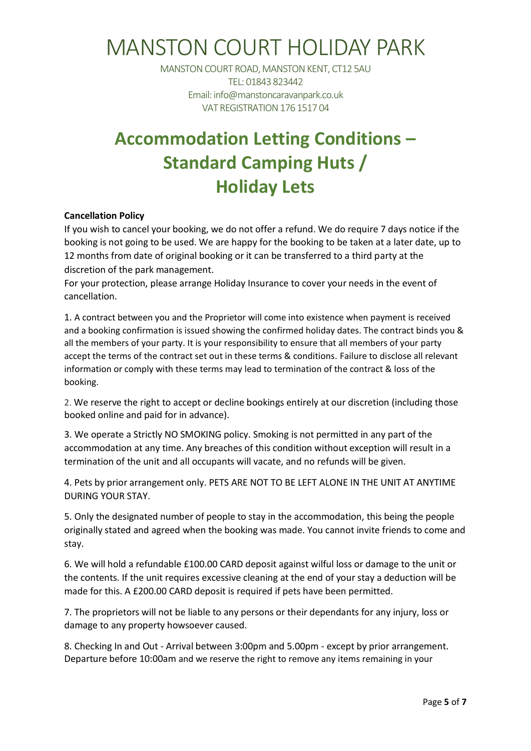MANSTON COURT ROAD, MANSTON KENT, CT12 5AU TEL: 01843 823442 Email: info@manstoncaravanpark.co.uk VAT REGISTRATION 176 1517 04

#### **Accommodation Letting Conditions – Standard Camping Huts / Holiday Lets**

#### **Cancellation Policy**

If you wish to cancel your booking, we do not offer a refund. We do require 7 days notice if the booking is not going to be used. We are happy for the booking to be taken at a later date, up to 12 months from date of original booking or it can be transferred to a third party at the discretion of the park management.

For your protection, please arrange Holiday Insurance to cover your needs in the event of cancellation.

1. A contract between you and the Proprietor will come into existence when payment is received and a booking confirmation is issued showing the confirmed holiday dates. The contract binds you & all the members of your party. It is your responsibility to ensure that all members of your party accept the terms of the contract set out in these terms & conditions. Failure to disclose all relevant information or comply with these terms may lead to termination of the contract & loss of the booking.

2. We reserve the right to accept or decline bookings entirely at our discretion (including those booked online and paid for in advance).

3. We operate a Strictly NO SMOKING policy. Smoking is not permitted in any part of the accommodation at any time. Any breaches of this condition without exception will result in a termination of the unit and all occupants will vacate, and no refunds will be given.

4. Pets by prior arrangement only. PETS ARE NOT TO BE LEFT ALONE IN THE UNIT AT ANYTIME DURING YOUR STAY.

5. Only the designated number of people to stay in the accommodation, this being the people originally stated and agreed when the booking was made. You cannot invite friends to come and stay.

6. We will hold a refundable £100.00 CARD deposit against wilful loss or damage to the unit or the contents. If the unit requires excessive cleaning at the end of your stay a deduction will be made for this. A £200.00 CARD deposit is required if pets have been permitted.

7. The proprietors will not be liable to any persons or their dependants for any injury, loss or damage to any property howsoever caused.

8. Checking In and Out - Arrival between 3:00pm and 5.00pm - except by prior arrangement. Departure before 10:00am and we reserve the right to remove any items remaining in your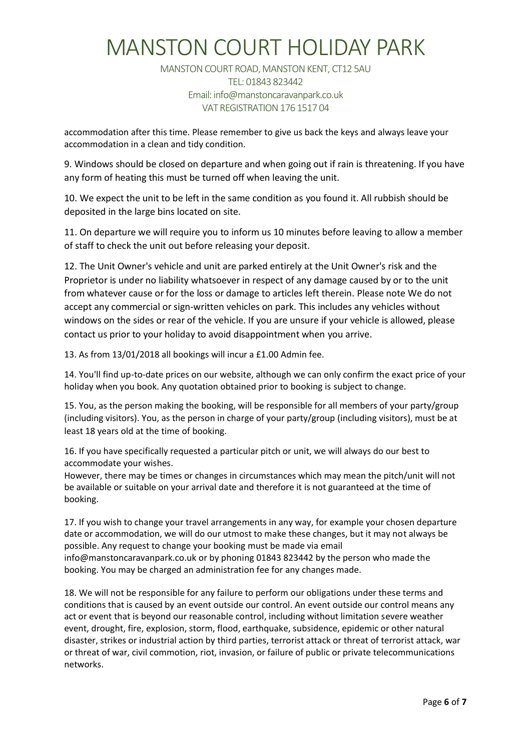MANSTON COURT ROAD, MANSTON KENT, CT12 5AU TEL: 01843 823442 Email: info@manstoncaravanpark.co.uk VAT REGISTRATION 176 1517 04

accommodation after this time. Please remember to give us back the keys and always leave your accommodation in a clean and tidy condition.

9. Windows should be closed on departure and when going out if rain is threatening. If you have any form of heating this must be turned off when leaving the unit.

10. We expect the unit to be left in the same condition as you found it. All rubbish should be deposited in the large bins located on site.

11. On departure we will require you to inform us 10 minutes before leaving to allow a member of staff to check the unit out before releasing your deposit.

12. The Unit Owner's vehicle and unit are parked entirely at the Unit Owner's risk and the Proprietor is under no liability whatsoever in respect of any damage caused by or to the unit from whatever cause or for the loss or damage to articles left therein. Please note We do not accept any commercial or sign-written vehicles on park. This includes any vehicles without windows on the sides or rear of the vehicle. If you are unsure if your vehicle is allowed, please contact us prior to your holiday to avoid disappointment when you arrive.

13. As from 13/01/2018 all bookings will incur a £1.00 Admin fee.

14. You'll find up-to-date prices on our website, although we can only confirm the exact price of your holiday when you book. Any quotation obtained prior to booking is subject to change.

15. You, as the person making the booking, will be responsible for all members of your party/group (including visitors). You, as the person in charge of your party/group (including visitors), must be at least 18 years old at the time of booking.

16. If you have specifically requested a particular pitch or unit, we will always do our best to accommodate your wishes.

However, there may be times or changes in circumstances which may mean the pitch/unit will not be available or suitable on your arrival date and therefore it is not guaranteed at the time of booking.

17. If you wish to change your travel arrangements in any way, for example your chosen departure date or accommodation, we will do our utmost to make these changes, but it may not always be possible. Any request to change your booking must be made via email info@manstoncaravanpark.co.uk or by phoning 01843 823442 by the person who made the booking. You may be charged an administration fee for any changes made.

18. We will not be responsible for any failure to perform our obligations under these terms and conditions that is caused by an event outside our control. An event outside our control means any act or event that is beyond our reasonable control, including without limitation severe weather event, drought, fire, explosion, storm, flood, earthquake, subsidence, epidemic or other natural disaster, strikes or industrial action by third parties, terrorist attack or threat of terrorist attack, war or threat of war, civil commotion, riot, invasion, or failure of public or private telecommunications networks.